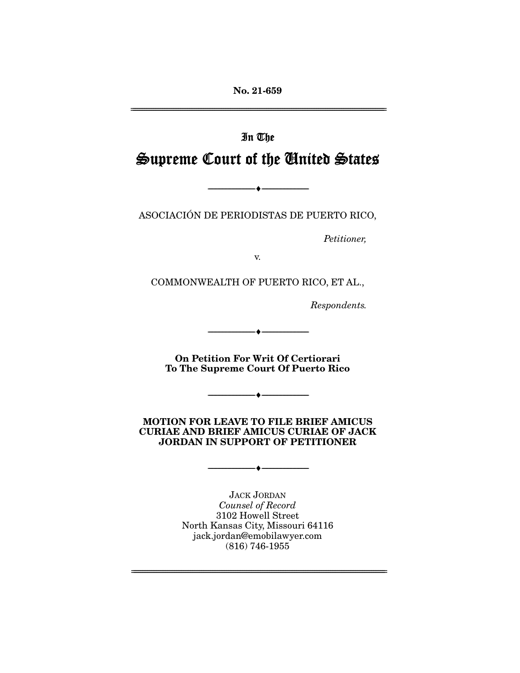**No. 21-659**  ================================================================================================================

# In The Supreme Court of the United States

ASOCIACIÓN DE PERIODISTAS DE PUERTO RICO,

--------------------------------- ♦ ---------------------------------

Petitioner,

v.

COMMONWEALTH OF PUERTO RICO, ET AL.,

Respondents.

**On Petition For Writ Of Certiorari To The Supreme Court Of Puerto Rico** 

--------------------------------- ♦ ---------------------------------

--------------------------------- ♦ ---------------------------------

**MOTION FOR LEAVE TO FILE BRIEF AMICUS CURIAE AND BRIEF AMICUS CURIAE OF JACK JORDAN IN SUPPORT OF PETITIONER** 

 $\bullet$   $-$ 

JACK JORDAN Counsel of Record 3102 Howell Street North Kansas City, Missouri 64116 jack.jordan@emobilawyer.com (816) 746-1955

================================================================================================================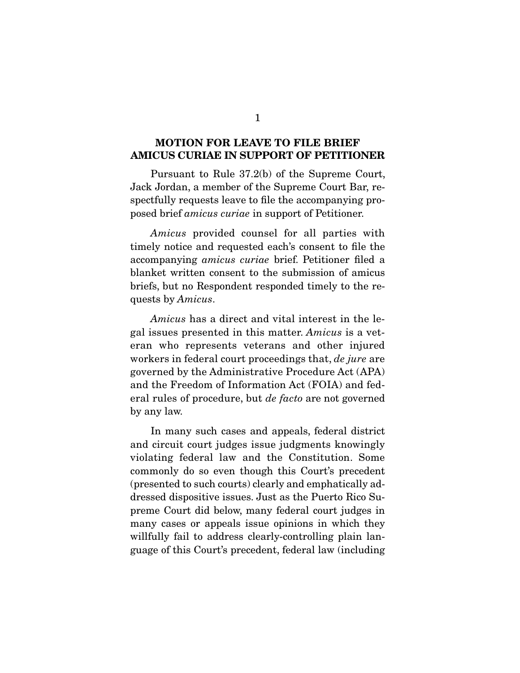## **MOTION FOR LEAVE TO FILE BRIEF AMICUS CURIAE IN SUPPORT OF PETITIONER**

 Pursuant to Rule 37.2(b) of the Supreme Court, Jack Jordan, a member of the Supreme Court Bar, respectfully requests leave to file the accompanying proposed brief amicus curiae in support of Petitioner.

 Amicus provided counsel for all parties with timely notice and requested each's consent to file the accompanying amicus curiae brief. Petitioner filed a blanket written consent to the submission of amicus briefs, but no Respondent responded timely to the requests by Amicus.

 Amicus has a direct and vital interest in the legal issues presented in this matter. Amicus is a veteran who represents veterans and other injured workers in federal court proceedings that, de jure are governed by the Administrative Procedure Act (APA) and the Freedom of Information Act (FOIA) and federal rules of procedure, but de facto are not governed by any law.

 In many such cases and appeals, federal district and circuit court judges issue judgments knowingly violating federal law and the Constitution. Some commonly do so even though this Court's precedent (presented to such courts) clearly and emphatically addressed dispositive issues. Just as the Puerto Rico Supreme Court did below, many federal court judges in many cases or appeals issue opinions in which they willfully fail to address clearly-controlling plain language of this Court's precedent, federal law (including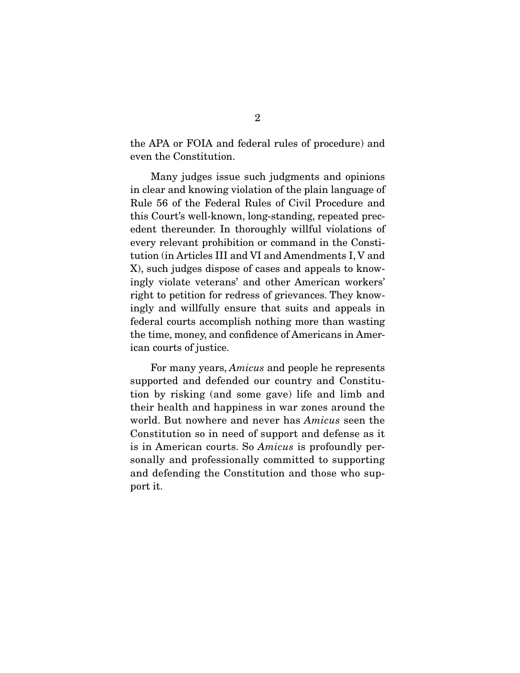the APA or FOIA and federal rules of procedure) and even the Constitution.

 Many judges issue such judgments and opinions in clear and knowing violation of the plain language of Rule 56 of the Federal Rules of Civil Procedure and this Court's well-known, long-standing, repeated precedent thereunder. In thoroughly willful violations of every relevant prohibition or command in the Constitution (in Articles III and VI and Amendments I, V and X), such judges dispose of cases and appeals to knowingly violate veterans' and other American workers' right to petition for redress of grievances. They knowingly and willfully ensure that suits and appeals in federal courts accomplish nothing more than wasting the time, money, and confidence of Americans in American courts of justice.

 For many years, Amicus and people he represents supported and defended our country and Constitution by risking (and some gave) life and limb and their health and happiness in war zones around the world. But nowhere and never has Amicus seen the Constitution so in need of support and defense as it is in American courts. So Amicus is profoundly personally and professionally committed to supporting and defending the Constitution and those who support it.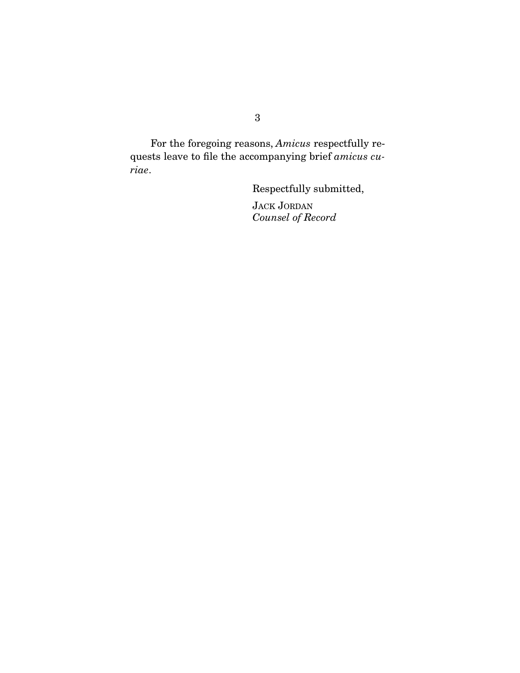For the foregoing reasons, Amicus respectfully requests leave to file the accompanying brief amicus curiae.

Respectfully submitted,

JACK JORDAN Counsel of Record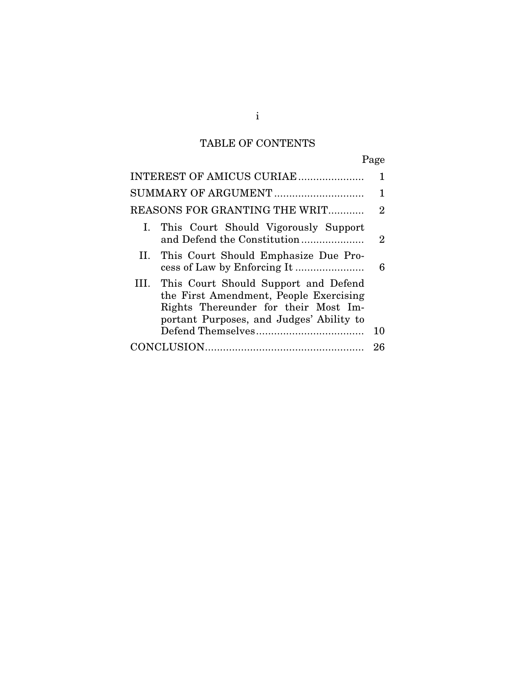# TABLE OF CONTENTS

| INTEREST OF AMICUS CURIAE                                                                                                                                               |    |
|-------------------------------------------------------------------------------------------------------------------------------------------------------------------------|----|
|                                                                                                                                                                         |    |
| REASONS FOR GRANTING THE WRIT                                                                                                                                           | 2  |
| I. This Court Should Vigorously Support<br>and Defend the Constitution                                                                                                  | 2  |
| II. This Court Should Emphasize Due Pro-                                                                                                                                | 6  |
| III. This Court Should Support and Defend<br>the First Amendment, People Exercising<br>Rights Thereunder for their Most Im-<br>portant Purposes, and Judges' Ability to |    |
|                                                                                                                                                                         | 10 |
|                                                                                                                                                                         | 26 |

i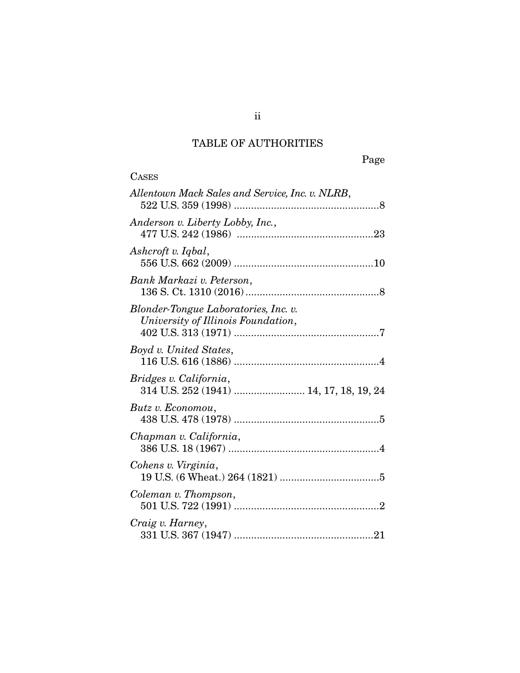# TABLE OF AUTHORITIES

| <b>CASES</b>                                                               |
|----------------------------------------------------------------------------|
| Allentown Mack Sales and Service, Inc. v. NLRB,                            |
| Anderson v. Liberty Lobby, Inc.,                                           |
| Ashcroft v. Iqbal,                                                         |
| Bank Markazi v. Peterson,                                                  |
| Blonder-Tongue Laboratories, Inc. v.<br>University of Illinois Foundation, |
| Boyd v. United States,                                                     |
| Bridges v. California,<br>314 U.S. 252 (1941)  14, 17, 18, 19, 24          |
| Butz v. Economou,                                                          |
| Chapman v. California,                                                     |
| Cohens v. Virginia,                                                        |
| Coleman v. Thompson,                                                       |
| Craig v. Harney,                                                           |

ii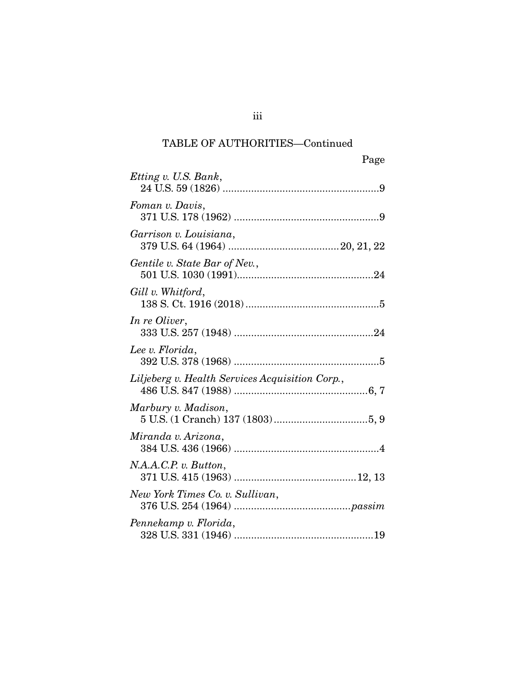# TABLE OF AUTHORITIES—Continued

| Page                                            |
|-------------------------------------------------|
| Etting v. U.S. Bank,                            |
| Foman v. Davis,                                 |
| Garrison v. Louisiana,                          |
| Gentile v. State Bar of Nev.,                   |
| Gill v. Whitford,                               |
| In re Oliver,                                   |
| Lee v. Florida,                                 |
| Liljeberg v. Health Services Acquisition Corp., |
| Marbury v. Madison,                             |
| Miranda v. Arizona,                             |
| N.A.A.C.P. v. Button,                           |
| New York Times Co. v. Sullivan,                 |
| Pennekamp v. Florida,                           |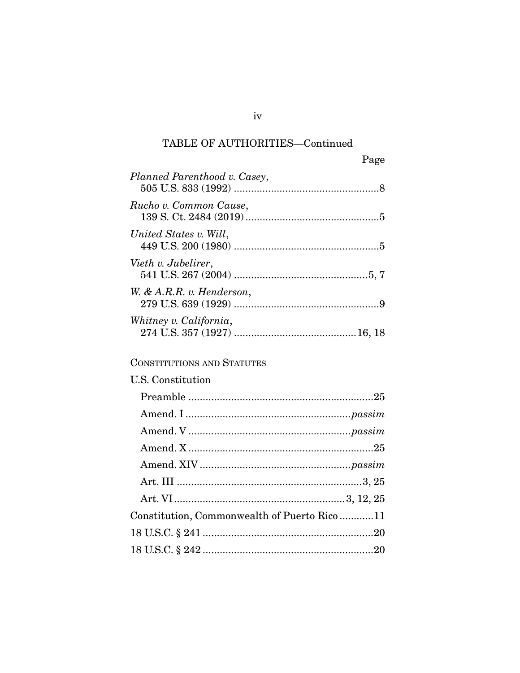# TABLE OF AUTHORITIES—Continued

|                              | Page |
|------------------------------|------|
| Planned Parenthood v. Casey, |      |
| Rucho v. Common Cause,       |      |
| United States v. Will,       |      |
| Vieth v. Jubelirer,          |      |
| W. & A.R.R. v. Henderson,    |      |
| Whitney v. California,       |      |

# CONSTITUTIONS AND STATUTES

| U.S. Constitution                           |
|---------------------------------------------|
|                                             |
|                                             |
|                                             |
|                                             |
|                                             |
|                                             |
|                                             |
| Constitution, Commonwealth of Puerto Rico11 |
|                                             |
|                                             |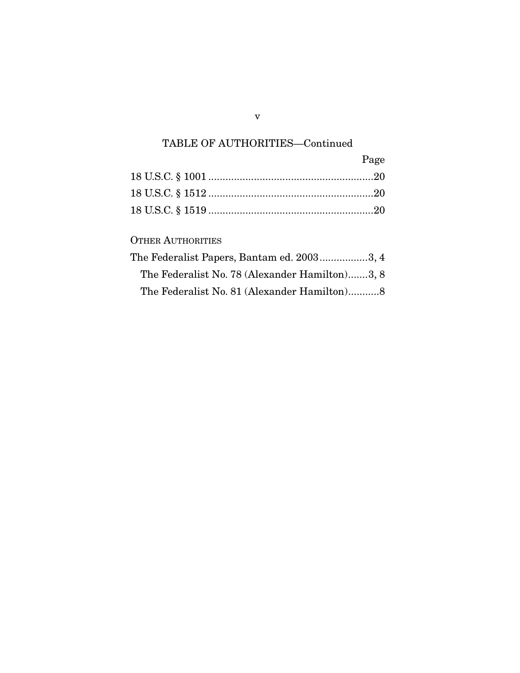# TABLE OF AUTHORITIES—Continued

| Page |
|------|
|      |
|      |
|      |

OTHER AUTHORITIES

| The Federalist Papers, Bantam ed. 20033, 4     |
|------------------------------------------------|
| The Federalist No. 78 (Alexander Hamilton)3, 8 |
| The Federalist No. 81 (Alexander Hamilton)8    |

v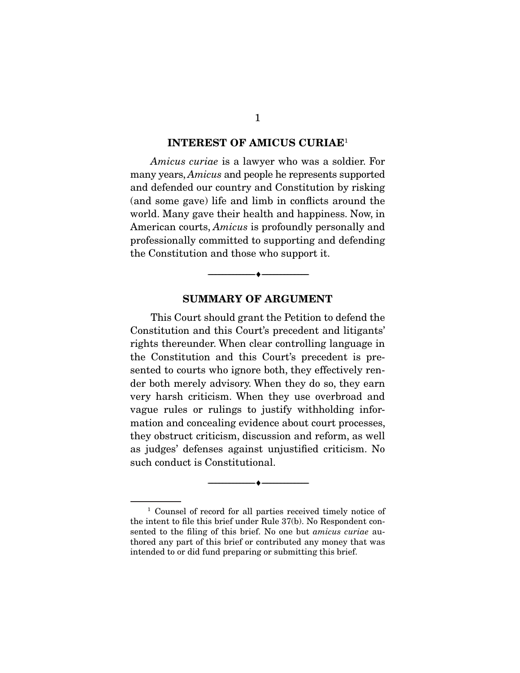#### **INTEREST OF AMICUS CURIAE**<sup>1</sup>

Amicus curiae is a lawyer who was a soldier. For many years, Amicus and people he represents supported and defended our country and Constitution by risking (and some gave) life and limb in conflicts around the world. Many gave their health and happiness. Now, in American courts, Amicus is profoundly personally and professionally committed to supporting and defending the Constitution and those who support it.

### **SUMMARY OF ARGUMENT**

--------------------------------- ♦ ---------------------------------

This Court should grant the Petition to defend the Constitution and this Court's precedent and litigants' rights thereunder. When clear controlling language in the Constitution and this Court's precedent is presented to courts who ignore both, they effectively render both merely advisory. When they do so, they earn very harsh criticism. When they use overbroad and vague rules or rulings to justify withholding information and concealing evidence about court processes, they obstruct criticism, discussion and reform, as well as judges' defenses against unjustified criticism. No such conduct is Constitutional.

<sup>1</sup> Counsel of record for all parties received timely notice of the intent to file this brief under Rule 37(b). No Respondent consented to the filing of this brief. No one but amicus curiae authored any part of this brief or contributed any money that was intended to or did fund preparing or submitting this brief.

--------------------------------- ♦ ---------------------------------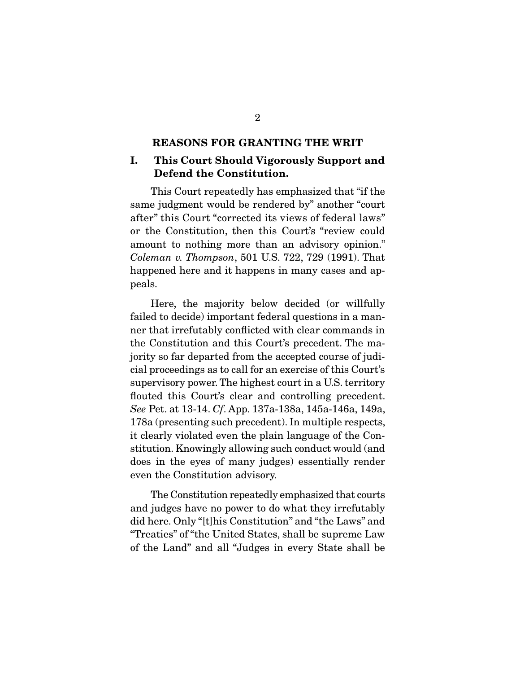#### **REASONS FOR GRANTING THE WRIT**

## **I. This Court Should Vigorously Support and Defend the Constitution.**

This Court repeatedly has emphasized that "if the same judgment would be rendered by" another "court after" this Court "corrected its views of federal laws" or the Constitution, then this Court's "review could amount to nothing more than an advisory opinion." Coleman v. Thompson, 501 U.S. 722, 729 (1991). That happened here and it happens in many cases and appeals.

 Here, the majority below decided (or willfully failed to decide) important federal questions in a manner that irrefutably conflicted with clear commands in the Constitution and this Court's precedent. The majority so far departed from the accepted course of judicial proceedings as to call for an exercise of this Court's supervisory power. The highest court in a U.S. territory flouted this Court's clear and controlling precedent. See Pet. at 13-14. Cf. App. 137a-138a, 145a-146a, 149a, 178a (presenting such precedent). In multiple respects, it clearly violated even the plain language of the Constitution. Knowingly allowing such conduct would (and does in the eyes of many judges) essentially render even the Constitution advisory.

 The Constitution repeatedly emphasized that courts and judges have no power to do what they irrefutably did here. Only "[t]his Constitution" and "the Laws" and "Treaties" of "the United States, shall be supreme Law of the Land" and all "Judges in every State shall be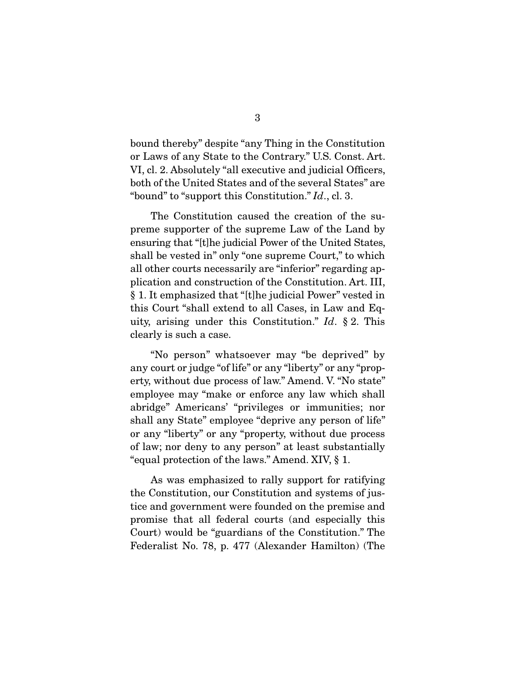bound thereby" despite "any Thing in the Constitution or Laws of any State to the Contrary." U.S. Const. Art. VI, cl. 2. Absolutely "all executive and judicial Officers, both of the United States and of the several States" are "bound" to "support this Constitution."  $Id.$ , cl. 3.

 The Constitution caused the creation of the supreme supporter of the supreme Law of the Land by ensuring that "[t]he judicial Power of the United States, shall be vested in" only "one supreme Court," to which all other courts necessarily are "inferior" regarding application and construction of the Constitution. Art. III, § 1. It emphasized that "[t]he judicial Power" vested in this Court "shall extend to all Cases, in Law and Equity, arising under this Constitution." Id. § 2. This clearly is such a case.

 "No person" whatsoever may "be deprived" by any court or judge "of life" or any "liberty" or any "property, without due process of law." Amend. V. "No state" employee may "make or enforce any law which shall abridge" Americans' "privileges or immunities; nor shall any State" employee "deprive any person of life" or any "liberty" or any "property, without due process of law; nor deny to any person" at least substantially "equal protection of the laws." Amend. XIV, § 1.

 As was emphasized to rally support for ratifying the Constitution, our Constitution and systems of justice and government were founded on the premise and promise that all federal courts (and especially this Court) would be "guardians of the Constitution." The Federalist No. 78, p. 477 (Alexander Hamilton) (The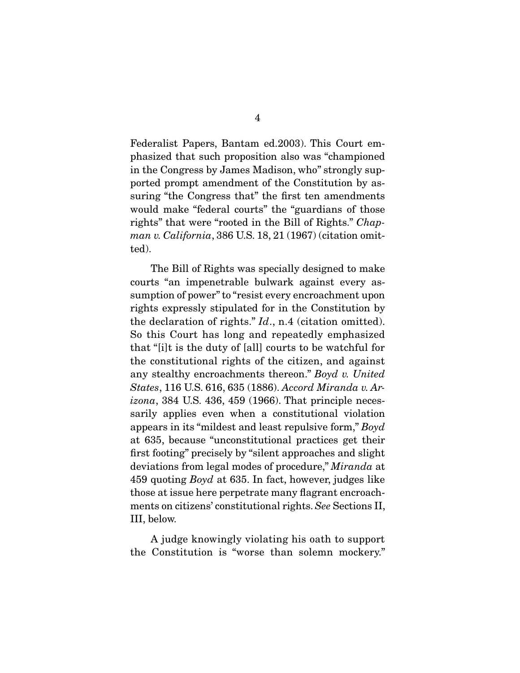Federalist Papers, Bantam ed.2003). This Court emphasized that such proposition also was "championed in the Congress by James Madison, who" strongly supported prompt amendment of the Constitution by assuring "the Congress that" the first ten amendments would make "federal courts" the "guardians of those rights" that were "rooted in the Bill of Rights." Chapman v. California, 386 U.S. 18, 21 (1967) (citation omitted).

 The Bill of Rights was specially designed to make courts "an impenetrable bulwark against every assumption of power" to "resist every encroachment upon rights expressly stipulated for in the Constitution by the declaration of rights."  $Id.$ , n.4 (citation omitted). So this Court has long and repeatedly emphasized that "[i]t is the duty of [all] courts to be watchful for the constitutional rights of the citizen, and against any stealthy encroachments thereon." Boyd v. United States, 116 U.S. 616, 635 (1886). Accord Miranda v. Ar- $\alpha$ , 384 U.S. 436, 459 (1966). That principle necessarily applies even when a constitutional violation appears in its "mildest and least repulsive form," Boyd at 635, because "unconstitutional practices get their first footing" precisely by "silent approaches and slight deviations from legal modes of procedure," Miranda at 459 quoting Boyd at 635. In fact, however, judges like those at issue here perpetrate many flagrant encroachments on citizens' constitutional rights. See Sections II, III, below.

 A judge knowingly violating his oath to support the Constitution is "worse than solemn mockery."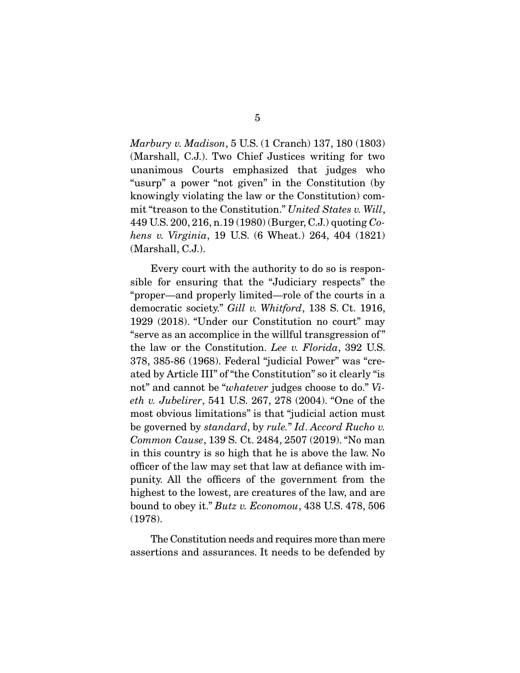Marbury v. Madison, 5 U.S. (1 Cranch) 137, 180 (1803) (Marshall, C.J.). Two Chief Justices writing for two unanimous Courts emphasized that judges who "usurp" a power "not given" in the Constitution (by knowingly violating the law or the Constitution) commit "treason to the Constitution." United States v. Will, 449 U.S. 200, 216, n.19 (1980) (Burger, C.J.) quoting Cohens v. Virginia, 19 U.S. (6 Wheat.) 264, 404 (1821) (Marshall, C.J.).

 Every court with the authority to do so is responsible for ensuring that the "Judiciary respects" the "proper—and properly limited—role of the courts in a democratic society." Gill v. Whitford, 138 S. Ct. 1916, 1929 (2018). "Under our Constitution no court" may "serve as an accomplice in the willful transgression of " the law or the Constitution. Lee v. Florida, 392 U.S. 378, 385-86 (1968). Federal "judicial Power" was "created by Article III" of "the Constitution" so it clearly "is not" and cannot be "whatever judges choose to do." Vieth v. Jubelirer, 541 U.S. 267, 278 (2004). "One of the most obvious limitations" is that "judicial action must be governed by standard, by rule." Id. Accord Rucho v. Common Cause, 139 S. Ct. 2484, 2507 (2019). "No man in this country is so high that he is above the law. No officer of the law may set that law at defiance with impunity. All the officers of the government from the highest to the lowest, are creatures of the law, and are bound to obey it." Butz v. Economou, 438 U.S. 478, 506 (1978).

 The Constitution needs and requires more than mere assertions and assurances. It needs to be defended by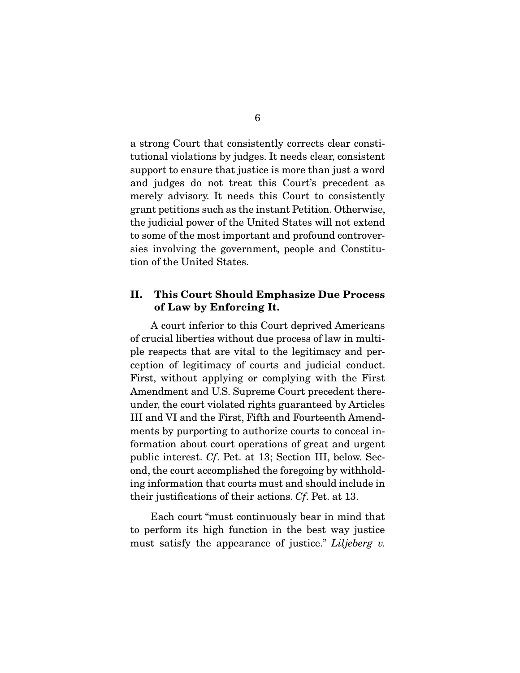a strong Court that consistently corrects clear constitutional violations by judges. It needs clear, consistent support to ensure that justice is more than just a word and judges do not treat this Court's precedent as merely advisory. It needs this Court to consistently grant petitions such as the instant Petition. Otherwise, the judicial power of the United States will not extend to some of the most important and profound controversies involving the government, people and Constitution of the United States.

## **II. This Court Should Emphasize Due Process of Law by Enforcing It.**

A court inferior to this Court deprived Americans of crucial liberties without due process of law in multiple respects that are vital to the legitimacy and perception of legitimacy of courts and judicial conduct. First, without applying or complying with the First Amendment and U.S. Supreme Court precedent thereunder, the court violated rights guaranteed by Articles III and VI and the First, Fifth and Fourteenth Amendments by purporting to authorize courts to conceal information about court operations of great and urgent public interest. Cf. Pet. at 13; Section III, below. Second, the court accomplished the foregoing by withholding information that courts must and should include in their justifications of their actions. Cf. Pet. at 13.

 Each court "must continuously bear in mind that to perform its high function in the best way justice must satisfy the appearance of justice." *Liljeberg v.*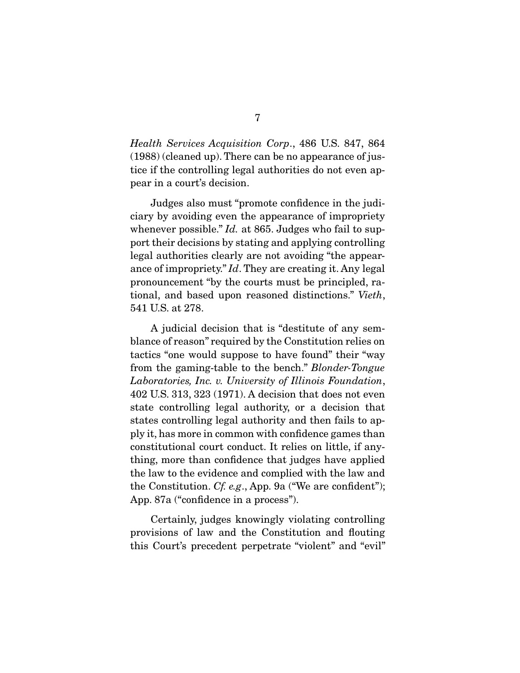Health Services Acquisition Corp., 486 U.S. 847, 864 (1988) (cleaned up). There can be no appearance of justice if the controlling legal authorities do not even appear in a court's decision.

 Judges also must "promote confidence in the judiciary by avoiding even the appearance of impropriety whenever possible." *Id.* at 865. Judges who fail to support their decisions by stating and applying controlling legal authorities clearly are not avoiding "the appearance of impropriety." Id. They are creating it. Any legal pronouncement "by the courts must be principled, rational, and based upon reasoned distinctions." Vieth, 541 U.S. at 278.

 A judicial decision that is "destitute of any semblance of reason" required by the Constitution relies on tactics "one would suppose to have found" their "way from the gaming-table to the bench." Blonder-Tongue Laboratories, Inc. v. University of Illinois Foundation, 402 U.S. 313, 323 (1971). A decision that does not even state controlling legal authority, or a decision that states controlling legal authority and then fails to apply it, has more in common with confidence games than constitutional court conduct. It relies on little, if anything, more than confidence that judges have applied the law to the evidence and complied with the law and the Constitution. Cf. e.g., App. 9a ("We are confident"); App. 87a ("confidence in a process").

 Certainly, judges knowingly violating controlling provisions of law and the Constitution and flouting this Court's precedent perpetrate "violent" and "evil"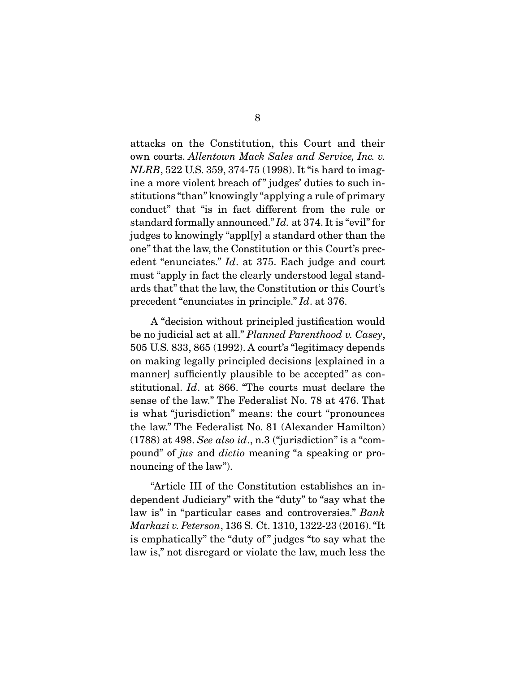attacks on the Constitution, this Court and their own courts. Allentown Mack Sales and Service, Inc. v. NLRB, 522 U.S. 359, 374-75 (1998). It "is hard to imagine a more violent breach of" judges' duties to such institutions "than" knowingly "applying a rule of primary conduct" that "is in fact different from the rule or standard formally announced." Id. at 374. It is "evil" for judges to knowingly "appl[y] a standard other than the one" that the law, the Constitution or this Court's precedent "enunciates." Id. at 375. Each judge and court must "apply in fact the clearly understood legal standards that" that the law, the Constitution or this Court's precedent "enunciates in principle." Id. at 376.

 A "decision without principled justification would be no judicial act at all." Planned Parenthood v. Casey, 505 U.S. 833, 865 (1992). A court's "legitimacy depends on making legally principled decisions [explained in a manner] sufficiently plausible to be accepted" as constitutional. Id. at 866. "The courts must declare the sense of the law." The Federalist No. 78 at 476. That is what "jurisdiction" means: the court "pronounces the law." The Federalist No. 81 (Alexander Hamilton)  $(1788)$  at 498. See also id., n.3 ("jurisdiction" is a "compound" of jus and dictio meaning "a speaking or pronouncing of the law".

 "Article III of the Constitution establishes an independent Judiciary" with the "duty" to "say what the law is" in "particular cases and controversies." Bank Markazi v. Peterson, 136 S. Ct. 1310, 1322-23 (2016). "It is emphatically" the "duty of " judges "to say what the law is," not disregard or violate the law, much less the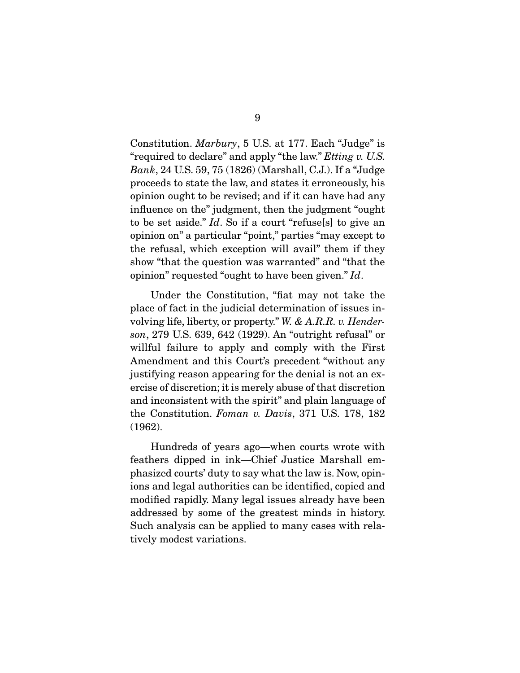Constitution. Marbury, 5 U.S. at 177. Each "Judge" is "required to declare" and apply "the law." *Etting v. U.S.* Bank, 24 U.S. 59, 75 (1826) (Marshall, C.J.). If a "Judge proceeds to state the law, and states it erroneously, his opinion ought to be revised; and if it can have had any influence on the" judgment, then the judgment "ought to be set aside." Id. So if a court "refuse[s] to give an opinion on" a particular "point," parties "may except to the refusal, which exception will avail" them if they show "that the question was warranted" and "that the opinion" requested "ought to have been given." Id.

 Under the Constitution, "fiat may not take the place of fact in the judicial determination of issues involving life, liberty, or property." W. & A.R.R. v. Henderson, 279 U.S. 639, 642 (1929). An "outright refusal" or willful failure to apply and comply with the First Amendment and this Court's precedent "without any justifying reason appearing for the denial is not an exercise of discretion; it is merely abuse of that discretion and inconsistent with the spirit" and plain language of the Constitution. Foman v. Davis, 371 U.S. 178, 182 (1962).

 Hundreds of years ago—when courts wrote with feathers dipped in ink—Chief Justice Marshall emphasized courts' duty to say what the law is. Now, opinions and legal authorities can be identified, copied and modified rapidly. Many legal issues already have been addressed by some of the greatest minds in history. Such analysis can be applied to many cases with relatively modest variations.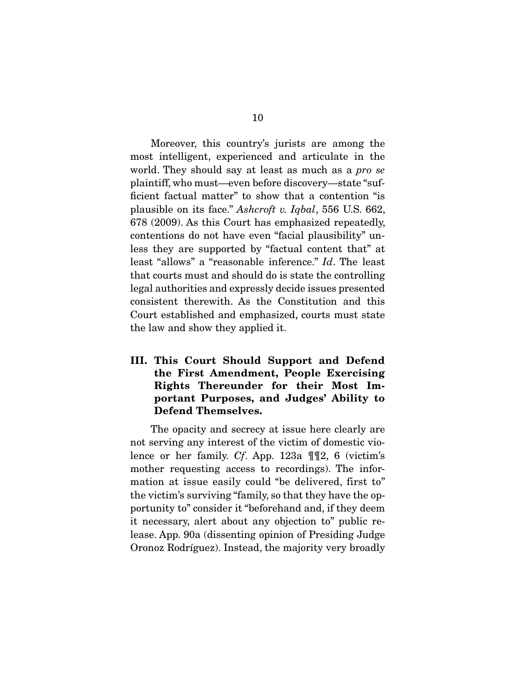Moreover, this country's jurists are among the most intelligent, experienced and articulate in the world. They should say at least as much as a pro se plaintiff, who must—even before discovery—state "sufficient factual matter" to show that a contention "is plausible on its face." Ashcroft v. Iqbal, 556 U.S. 662, 678 (2009). As this Court has emphasized repeatedly, contentions do not have even "facial plausibility" unless they are supported by "factual content that" at least "allows" a "reasonable inference." Id. The least that courts must and should do is state the controlling legal authorities and expressly decide issues presented consistent therewith. As the Constitution and this Court established and emphasized, courts must state the law and show they applied it.

**III. This Court Should Support and Defend the First Amendment, People Exercising Rights Thereunder for their Most Important Purposes, and Judges' Ability to Defend Themselves.** 

The opacity and secrecy at issue here clearly are not serving any interest of the victim of domestic violence or her family. Cf. App. 123a ¶¶2, 6 (victim's mother requesting access to recordings). The information at issue easily could "be delivered, first to" the victim's surviving "family, so that they have the opportunity to" consider it "beforehand and, if they deem it necessary, alert about any objection to" public release. App. 90a (dissenting opinion of Presiding Judge Oronoz Rodríguez). Instead, the majority very broadly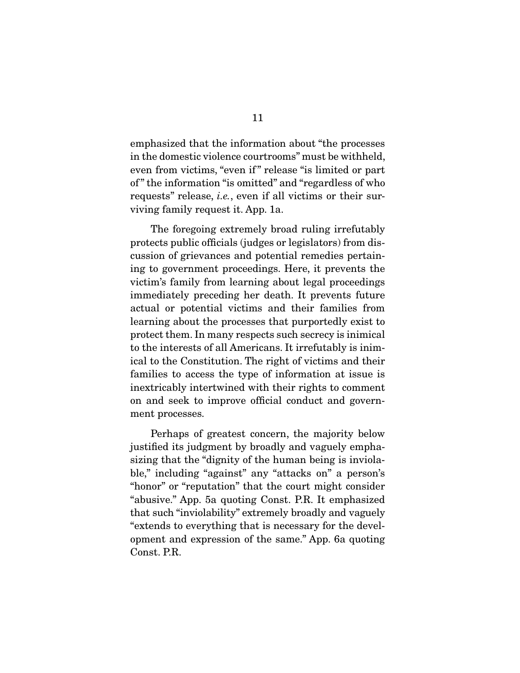emphasized that the information about "the processes in the domestic violence courtrooms" must be withheld, even from victims, "even if " release "is limited or part of " the information "is omitted" and "regardless of who requests" release, *i.e.*, even if all victims or their surviving family request it. App. 1a.

 The foregoing extremely broad ruling irrefutably protects public officials (judges or legislators) from discussion of grievances and potential remedies pertaining to government proceedings. Here, it prevents the victim's family from learning about legal proceedings immediately preceding her death. It prevents future actual or potential victims and their families from learning about the processes that purportedly exist to protect them. In many respects such secrecy is inimical to the interests of all Americans. It irrefutably is inimical to the Constitution. The right of victims and their families to access the type of information at issue is inextricably intertwined with their rights to comment on and seek to improve official conduct and government processes.

 Perhaps of greatest concern, the majority below justified its judgment by broadly and vaguely emphasizing that the "dignity of the human being is inviolable," including "against" any "attacks on" a person's "honor" or "reputation" that the court might consider "abusive." App. 5a quoting Const. P.R. It emphasized that such "inviolability" extremely broadly and vaguely "extends to everything that is necessary for the development and expression of the same." App. 6a quoting Const. P.R.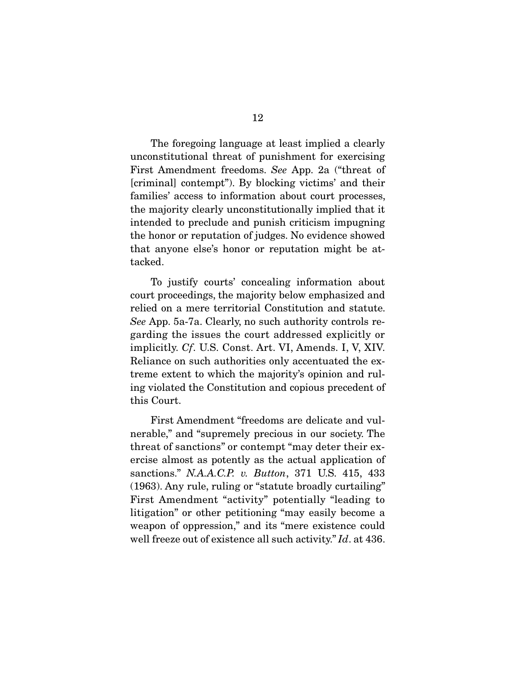The foregoing language at least implied a clearly unconstitutional threat of punishment for exercising First Amendment freedoms. See App. 2a ("threat of [criminal] contempt"). By blocking victims' and their families' access to information about court processes, the majority clearly unconstitutionally implied that it intended to preclude and punish criticism impugning the honor or reputation of judges. No evidence showed that anyone else's honor or reputation might be attacked.

 To justify courts' concealing information about court proceedings, the majority below emphasized and relied on a mere territorial Constitution and statute. See App. 5a-7a. Clearly, no such authority controls regarding the issues the court addressed explicitly or implicitly. Cf. U.S. Const. Art. VI, Amends. I, V, XIV. Reliance on such authorities only accentuated the extreme extent to which the majority's opinion and ruling violated the Constitution and copious precedent of this Court.

 First Amendment "freedoms are delicate and vulnerable," and "supremely precious in our society. The threat of sanctions" or contempt "may deter their exercise almost as potently as the actual application of sanctions." N.A.A.C.P. v. Button, 371 U.S. 415, 433 (1963). Any rule, ruling or "statute broadly curtailing" First Amendment "activity" potentially "leading to litigation" or other petitioning "may easily become a weapon of oppression," and its "mere existence could well freeze out of existence all such activity." Id. at 436.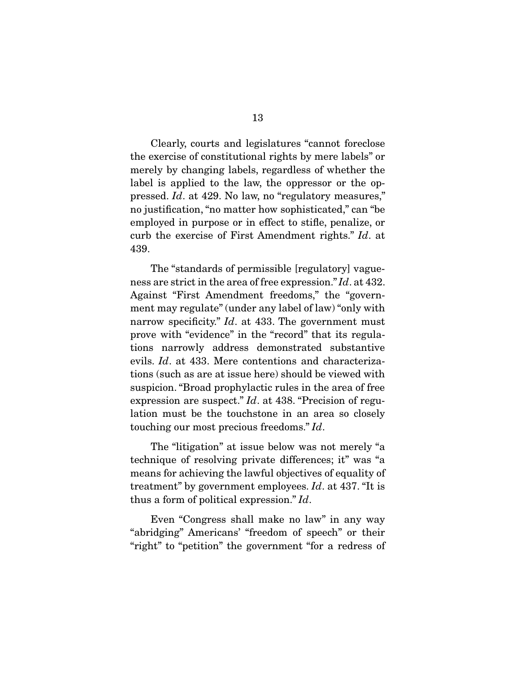Clearly, courts and legislatures "cannot foreclose the exercise of constitutional rights by mere labels" or merely by changing labels, regardless of whether the label is applied to the law, the oppressor or the oppressed. Id. at 429. No law, no "regulatory measures," no justification, "no matter how sophisticated," can "be employed in purpose or in effect to stifle, penalize, or curb the exercise of First Amendment rights." Id. at 439.

 The "standards of permissible [regulatory] vagueness are strict in the area of free expression." Id. at 432. Against "First Amendment freedoms," the "government may regulate" (under any label of law) "only with narrow specificity."  $Id.$  at 433. The government must prove with "evidence" in the "record" that its regulations narrowly address demonstrated substantive evils. Id. at 433. Mere contentions and characterizations (such as are at issue here) should be viewed with suspicion. "Broad prophylactic rules in the area of free expression are suspect." Id. at 438. "Precision of regulation must be the touchstone in an area so closely touching our most precious freedoms." Id.

 The "litigation" at issue below was not merely "a technique of resolving private differences; it" was "a means for achieving the lawful objectives of equality of treatment" by government employees. Id. at 437. "It is thus a form of political expression." Id.

 Even "Congress shall make no law" in any way "abridging" Americans' "freedom of speech" or their "right" to "petition" the government "for a redress of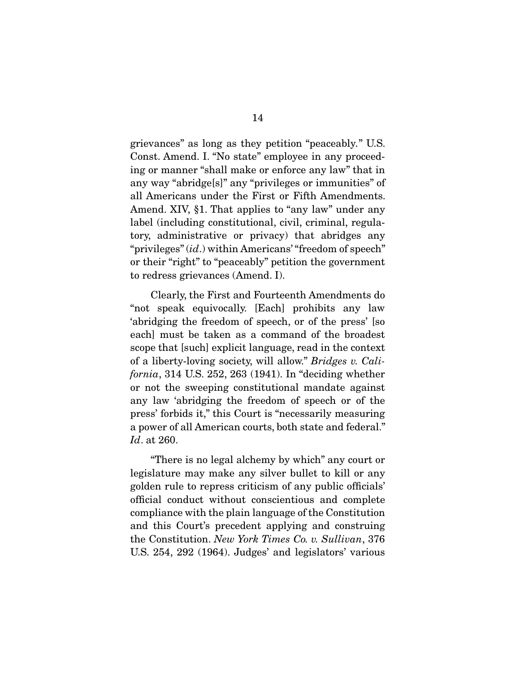grievances" as long as they petition "peaceably." U.S. Const. Amend. I. "No state" employee in any proceeding or manner "shall make or enforce any law" that in any way "abridge[s]" any "privileges or immunities" of all Americans under the First or Fifth Amendments. Amend. XIV, §1. That applies to "any law" under any label (including constitutional, civil, criminal, regulatory, administrative or privacy) that abridges any "privileges" (id.) within Americans' "freedom of speech" or their "right" to "peaceably" petition the government to redress grievances (Amend. I).

 Clearly, the First and Fourteenth Amendments do "not speak equivocally. [Each] prohibits any law 'abridging the freedom of speech, or of the press' [so each] must be taken as a command of the broadest scope that [such] explicit language, read in the context of a liberty-loving society, will allow." Bridges v. California, 314 U.S. 252, 263 (1941). In "deciding whether or not the sweeping constitutional mandate against any law 'abridging the freedom of speech or of the press' forbids it," this Court is "necessarily measuring a power of all American courts, both state and federal." Id. at 260.

 "There is no legal alchemy by which" any court or legislature may make any silver bullet to kill or any golden rule to repress criticism of any public officials' official conduct without conscientious and complete compliance with the plain language of the Constitution and this Court's precedent applying and construing the Constitution. New York Times Co. v. Sullivan, 376 U.S. 254, 292 (1964). Judges' and legislators' various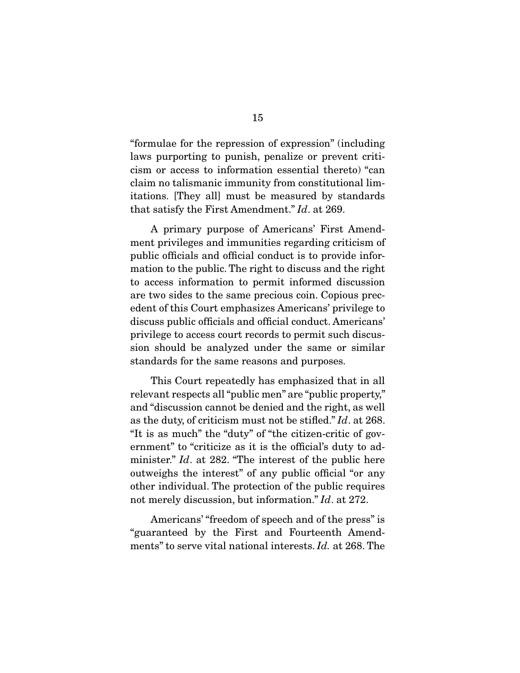"formulae for the repression of expression" (including laws purporting to punish, penalize or prevent criticism or access to information essential thereto) "can claim no talismanic immunity from constitutional limitations. [They all] must be measured by standards that satisfy the First Amendment." Id. at 269.

 A primary purpose of Americans' First Amendment privileges and immunities regarding criticism of public officials and official conduct is to provide information to the public. The right to discuss and the right to access information to permit informed discussion are two sides to the same precious coin. Copious precedent of this Court emphasizes Americans' privilege to discuss public officials and official conduct. Americans' privilege to access court records to permit such discussion should be analyzed under the same or similar standards for the same reasons and purposes.

 This Court repeatedly has emphasized that in all relevant respects all "public men" are "public property," and "discussion cannot be denied and the right, as well as the duty, of criticism must not be stifled." Id. at 268. "It is as much" the "duty" of "the citizen-critic of government" to "criticize as it is the official's duty to administer." Id. at 282. "The interest of the public here outweighs the interest" of any public official "or any other individual. The protection of the public requires not merely discussion, but information." Id. at 272.

 Americans' "freedom of speech and of the press" is "guaranteed by the First and Fourteenth Amendments" to serve vital national interests. Id. at 268. The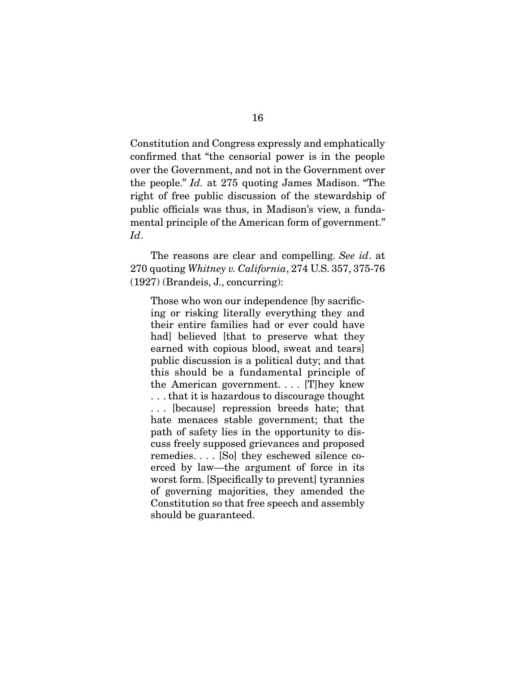Constitution and Congress expressly and emphatically confirmed that "the censorial power is in the people over the Government, and not in the Government over the people." Id. at 275 quoting James Madison. "The right of free public discussion of the stewardship of public officials was thus, in Madison's view, a fundamental principle of the American form of government." Id.

The reasons are clear and compelling. See id. at 270 quoting Whitney v. California, 274 U.S. 357, 375-76 (1927) (Brandeis, J., concurring):

Those who won our independence [by sacrificing or risking literally everything they and their entire families had or ever could have had] believed [that to preserve what they earned with copious blood, sweat and tears] public discussion is a political duty; and that this should be a fundamental principle of the American government. . . . [T]hey knew . . . that it is hazardous to discourage thought . . . [because] repression breeds hate; that hate menaces stable government; that the path of safety lies in the opportunity to discuss freely supposed grievances and proposed remedies. . . . [So] they eschewed silence coerced by law—the argument of force in its worst form. [Specifically to prevent] tyrannies of governing majorities, they amended the Constitution so that free speech and assembly should be guaranteed.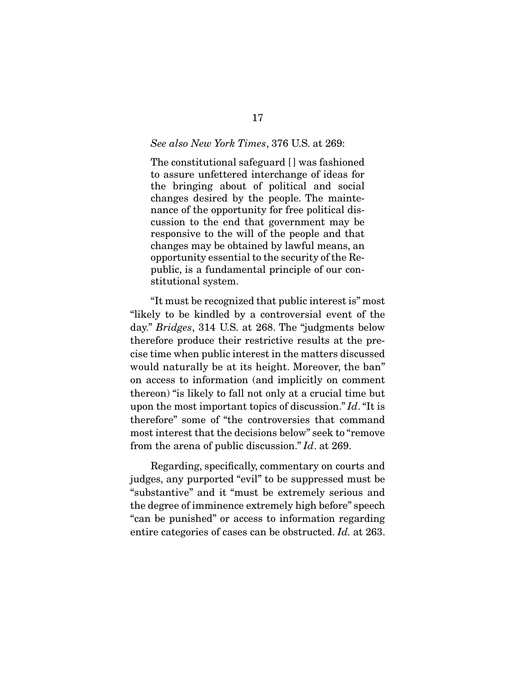#### See also New York Times, 376 U.S. at 269:

The constitutional safeguard [ ] was fashioned to assure unfettered interchange of ideas for the bringing about of political and social changes desired by the people. The maintenance of the opportunity for free political discussion to the end that government may be responsive to the will of the people and that changes may be obtained by lawful means, an opportunity essential to the security of the Republic, is a fundamental principle of our constitutional system.

 "It must be recognized that public interest is" most "likely to be kindled by a controversial event of the day." Bridges, 314 U.S. at 268. The "judgments below therefore produce their restrictive results at the precise time when public interest in the matters discussed would naturally be at its height. Moreover, the ban" on access to information (and implicitly on comment thereon) "is likely to fall not only at a crucial time but upon the most important topics of discussion." Id. "It is therefore" some of "the controversies that command most interest that the decisions below" seek to "remove from the arena of public discussion." Id. at 269.

 Regarding, specifically, commentary on courts and judges, any purported "evil" to be suppressed must be "substantive" and it "must be extremely serious and the degree of imminence extremely high before" speech "can be punished" or access to information regarding entire categories of cases can be obstructed. Id. at 263.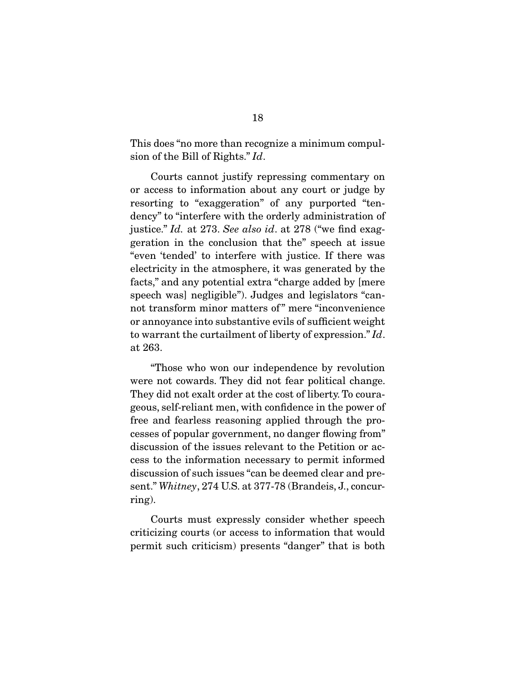This does "no more than recognize a minimum compulsion of the Bill of Rights." Id.

 Courts cannot justify repressing commentary on or access to information about any court or judge by resorting to "exaggeration" of any purported "tendency" to "interfere with the orderly administration of justice." Id. at 273. See also id. at 278 ("we find exaggeration in the conclusion that the" speech at issue "even 'tended' to interfere with justice. If there was electricity in the atmosphere, it was generated by the facts," and any potential extra "charge added by [mere speech was] negligible"). Judges and legislators "cannot transform minor matters of " mere "inconvenience or annoyance into substantive evils of sufficient weight to warrant the curtailment of liberty of expression." Id. at 263.

 "Those who won our independence by revolution were not cowards. They did not fear political change. They did not exalt order at the cost of liberty. To courageous, self-reliant men, with confidence in the power of free and fearless reasoning applied through the processes of popular government, no danger flowing from" discussion of the issues relevant to the Petition or access to the information necessary to permit informed discussion of such issues "can be deemed clear and present." Whitney, 274 U.S. at 377-78 (Brandeis, J., concurring).

 Courts must expressly consider whether speech criticizing courts (or access to information that would permit such criticism) presents "danger" that is both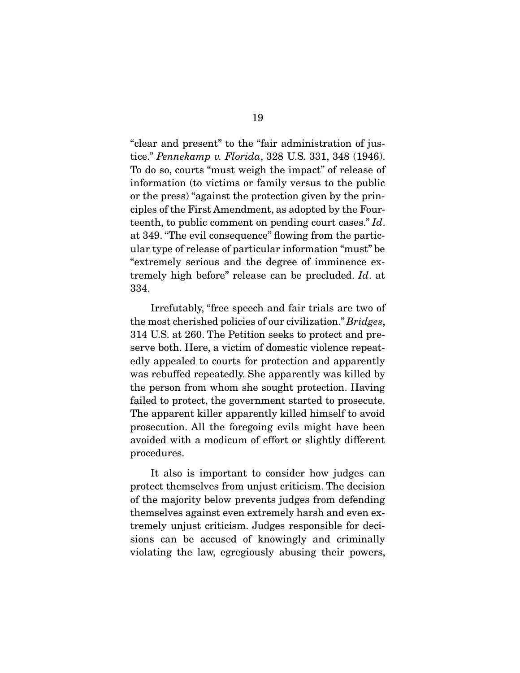"clear and present" to the "fair administration of justice." Pennekamp v. Florida, 328 U.S. 331, 348 (1946). To do so, courts "must weigh the impact" of release of information (to victims or family versus to the public or the press) "against the protection given by the principles of the First Amendment, as adopted by the Fourteenth, to public comment on pending court cases." Id. at 349. "The evil consequence" flowing from the particular type of release of particular information "must" be "extremely serious and the degree of imminence extremely high before" release can be precluded. Id. at 334.

 Irrefutably, "free speech and fair trials are two of the most cherished policies of our civilization." Bridges, 314 U.S. at 260. The Petition seeks to protect and preserve both. Here, a victim of domestic violence repeatedly appealed to courts for protection and apparently was rebuffed repeatedly. She apparently was killed by the person from whom she sought protection. Having failed to protect, the government started to prosecute. The apparent killer apparently killed himself to avoid prosecution. All the foregoing evils might have been avoided with a modicum of effort or slightly different procedures.

 It also is important to consider how judges can protect themselves from unjust criticism. The decision of the majority below prevents judges from defending themselves against even extremely harsh and even extremely unjust criticism. Judges responsible for decisions can be accused of knowingly and criminally violating the law, egregiously abusing their powers,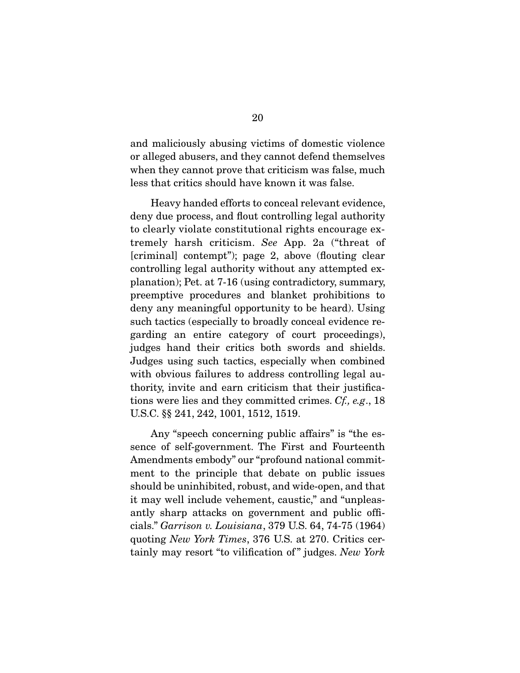and maliciously abusing victims of domestic violence or alleged abusers, and they cannot defend themselves when they cannot prove that criticism was false, much less that critics should have known it was false.

 Heavy handed efforts to conceal relevant evidence, deny due process, and flout controlling legal authority to clearly violate constitutional rights encourage extremely harsh criticism. See App. 2a ("threat of [criminal] contempt"); page 2, above (flouting clear controlling legal authority without any attempted explanation); Pet. at 7-16 (using contradictory, summary, preemptive procedures and blanket prohibitions to deny any meaningful opportunity to be heard). Using such tactics (especially to broadly conceal evidence regarding an entire category of court proceedings), judges hand their critics both swords and shields. Judges using such tactics, especially when combined with obvious failures to address controlling legal authority, invite and earn criticism that their justifications were lies and they committed crimes. Cf., e.g., 18 U.S.C. §§ 241, 242, 1001, 1512, 1519.

 Any "speech concerning public affairs" is "the essence of self-government. The First and Fourteenth Amendments embody" our "profound national commitment to the principle that debate on public issues should be uninhibited, robust, and wide-open, and that it may well include vehement, caustic," and "unpleasantly sharp attacks on government and public officials." Garrison v. Louisiana, 379 U.S. 64, 74-75 (1964) quoting New York Times, 376 U.S. at 270. Critics certainly may resort "to vilification of" judges. New York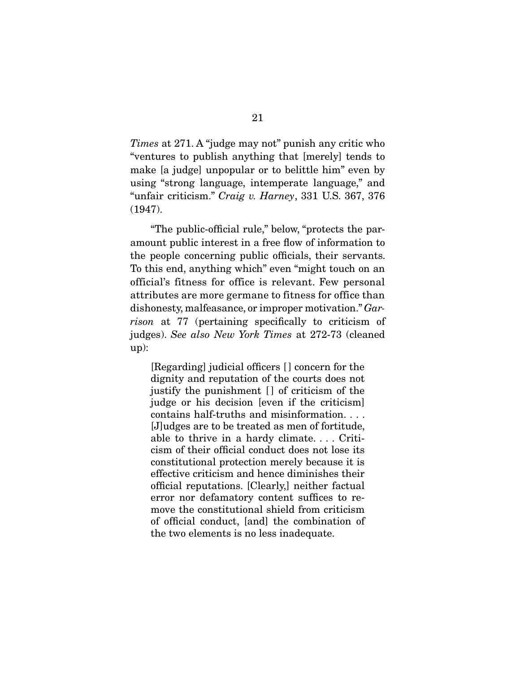Times at 271. A "judge may not" punish any critic who "ventures to publish anything that [merely] tends to make [a judge] unpopular or to belittle him" even by using "strong language, intemperate language," and "unfair criticism." Craig v. Harney, 331 U.S. 367, 376 (1947).

 "The public-official rule," below, "protects the paramount public interest in a free flow of information to the people concerning public officials, their servants. To this end, anything which" even "might touch on an official's fitness for office is relevant. Few personal attributes are more germane to fitness for office than dishonesty, malfeasance, or improper motivation." Garrison at 77 (pertaining specifically to criticism of judges). See also New York Times at 272-73 (cleaned up):

[Regarding] judicial officers [ ] concern for the dignity and reputation of the courts does not justify the punishment [] of criticism of the judge or his decision [even if the criticism] contains half-truths and misinformation. . . . [J]udges are to be treated as men of fortitude, able to thrive in a hardy climate. . . . Criticism of their official conduct does not lose its constitutional protection merely because it is effective criticism and hence diminishes their official reputations. [Clearly,] neither factual error nor defamatory content suffices to remove the constitutional shield from criticism of official conduct, [and] the combination of the two elements is no less inadequate.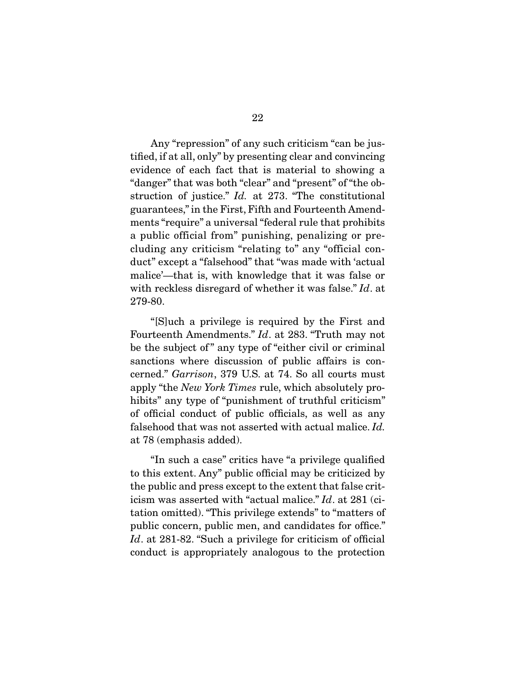Any "repression" of any such criticism "can be justified, if at all, only" by presenting clear and convincing evidence of each fact that is material to showing a "danger" that was both "clear" and "present" of "the obstruction of justice." Id. at 273. "The constitutional guarantees," in the First, Fifth and Fourteenth Amendments "require" a universal "federal rule that prohibits a public official from" punishing, penalizing or precluding any criticism "relating to" any "official conduct" except a "falsehood" that "was made with 'actual malice'—that is, with knowledge that it was false or with reckless disregard of whether it was false." Id. at 279-80.

 "[S]uch a privilege is required by the First and Fourteenth Amendments." Id. at 283. "Truth may not be the subject of" any type of "either civil or criminal sanctions where discussion of public affairs is concerned." Garrison, 379 U.S. at 74. So all courts must apply "the New York Times rule, which absolutely prohibits" any type of "punishment of truthful criticism" of official conduct of public officials, as well as any falsehood that was not asserted with actual malice. Id. at 78 (emphasis added).

 "In such a case" critics have "a privilege qualified to this extent. Any" public official may be criticized by the public and press except to the extent that false criticism was asserted with "actual malice." Id. at 281 (citation omitted). "This privilege extends" to "matters of public concern, public men, and candidates for office." Id. at 281-82. "Such a privilege for criticism of official conduct is appropriately analogous to the protection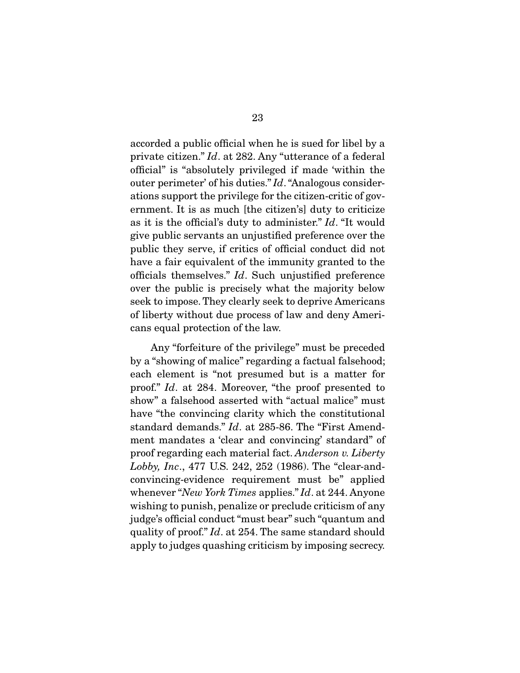accorded a public official when he is sued for libel by a private citizen." Id. at 282. Any "utterance of a federal official" is "absolutely privileged if made 'within the outer perimeter' of his duties." Id. "Analogous considerations support the privilege for the citizen-critic of government. It is as much [the citizen's] duty to criticize as it is the official's duty to administer." Id. "It would give public servants an unjustified preference over the public they serve, if critics of official conduct did not have a fair equivalent of the immunity granted to the officials themselves." Id. Such unjustified preference over the public is precisely what the majority below seek to impose. They clearly seek to deprive Americans of liberty without due process of law and deny Americans equal protection of the law.

 Any "forfeiture of the privilege" must be preceded by a "showing of malice" regarding a factual falsehood; each element is "not presumed but is a matter for proof." Id. at 284. Moreover, "the proof presented to show" a falsehood asserted with "actual malice" must have "the convincing clarity which the constitutional standard demands." Id. at 285-86. The "First Amendment mandates a 'clear and convincing' standard" of proof regarding each material fact. Anderson v. Liberty Lobby, Inc., 477 U.S. 242, 252 (1986). The "clear-andconvincing-evidence requirement must be" applied whenever "New York Times applies." Id. at 244. Anyone wishing to punish, penalize or preclude criticism of any judge's official conduct "must bear" such "quantum and quality of proof." Id. at 254. The same standard should apply to judges quashing criticism by imposing secrecy.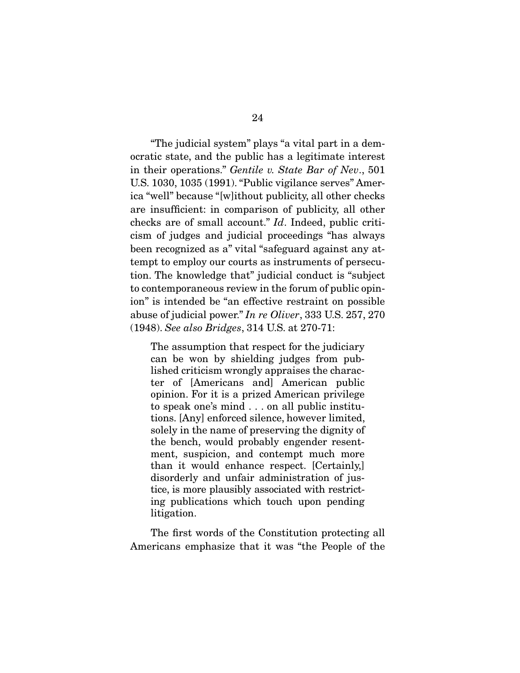"The judicial system" plays "a vital part in a democratic state, and the public has a legitimate interest in their operations." Gentile v. State Bar of Nev., 501 U.S. 1030, 1035 (1991). "Public vigilance serves" America "well" because "[w]ithout publicity, all other checks are insufficient: in comparison of publicity, all other checks are of small account." Id. Indeed, public criticism of judges and judicial proceedings "has always been recognized as a" vital "safeguard against any attempt to employ our courts as instruments of persecution. The knowledge that" judicial conduct is "subject to contemporaneous review in the forum of public opinion" is intended be "an effective restraint on possible abuse of judicial power." In re Oliver, 333 U.S. 257, 270 (1948). See also Bridges, 314 U.S. at 270-71:

The assumption that respect for the judiciary can be won by shielding judges from published criticism wrongly appraises the character of [Americans and] American public opinion. For it is a prized American privilege to speak one's mind . . . on all public institutions. [Any] enforced silence, however limited, solely in the name of preserving the dignity of the bench, would probably engender resentment, suspicion, and contempt much more than it would enhance respect. [Certainly,] disorderly and unfair administration of justice, is more plausibly associated with restricting publications which touch upon pending litigation.

 The first words of the Constitution protecting all Americans emphasize that it was "the People of the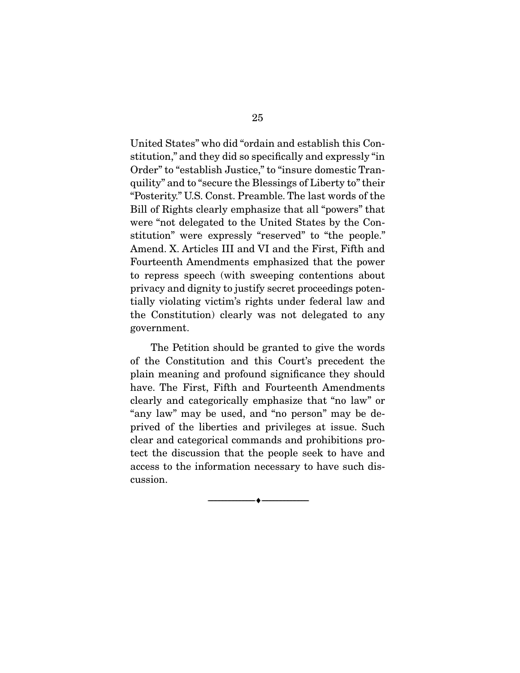United States" who did "ordain and establish this Constitution," and they did so specifically and expressly "in Order" to "establish Justice," to "insure domestic Tranquility" and to "secure the Blessings of Liberty to" their "Posterity." U.S. Const. Preamble. The last words of the Bill of Rights clearly emphasize that all "powers" that were "not delegated to the United States by the Constitution" were expressly "reserved" to "the people." Amend. X. Articles III and VI and the First, Fifth and Fourteenth Amendments emphasized that the power to repress speech (with sweeping contentions about privacy and dignity to justify secret proceedings potentially violating victim's rights under federal law and the Constitution) clearly was not delegated to any government.

 The Petition should be granted to give the words of the Constitution and this Court's precedent the plain meaning and profound significance they should have. The First, Fifth and Fourteenth Amendments clearly and categorically emphasize that "no law" or "any law" may be used, and "no person" may be deprived of the liberties and privileges at issue. Such clear and categorical commands and prohibitions protect the discussion that the people seek to have and access to the information necessary to have such discussion.

--------------------------------- ♦ ---------------------------------